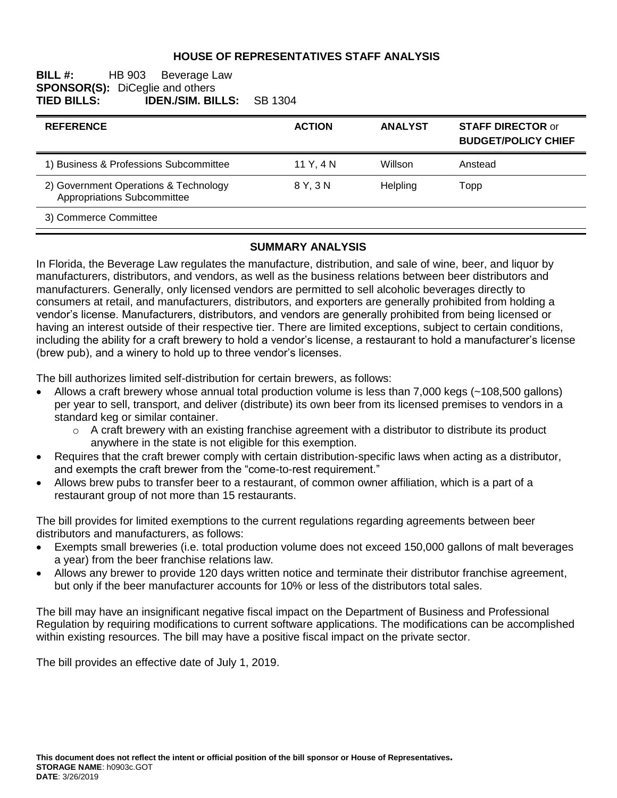### **HOUSE OF REPRESENTATIVES STAFF ANALYSIS**

#### **BILL #:** HB 903 Beverage Law **SPONSOR(S):** DiCeglie and others<br>**TIED BILLS: IDEN./SIM. BI TIED BILLS: IDEN./SIM. BILLS:** SB 1304

| <b>REFERENCE</b>                                                     | <b>ACTION</b> | <b>ANALYST</b>  | <b>STAFF DIRECTOR or</b><br><b>BUDGET/POLICY CHIEF</b> |
|----------------------------------------------------------------------|---------------|-----------------|--------------------------------------------------------|
| 1) Business & Professions Subcommittee                               | 11 Y.4 N      | Willson         | Anstead                                                |
| 2) Government Operations & Technology<br>Appropriations Subcommittee | 8 Y. 3 N      | <b>Helpling</b> | Topp                                                   |
| 3) Commerce Committee                                                |               |                 |                                                        |

#### **SUMMARY ANALYSIS**

In Florida, the Beverage Law regulates the manufacture, distribution, and sale of wine, beer, and liquor by manufacturers, distributors, and vendors, as well as the business relations between beer distributors and manufacturers. Generally, only licensed vendors are permitted to sell alcoholic beverages directly to consumers at retail, and manufacturers, distributors, and exporters are generally prohibited from holding a vendor's license. Manufacturers, distributors, and vendors are generally prohibited from being licensed or having an interest outside of their respective tier. There are limited exceptions, subject to certain conditions, including the ability for a craft brewery to hold a vendor's license, a restaurant to hold a manufacturer's license (brew pub), and a winery to hold up to three vendor's licenses.

The bill authorizes limited self-distribution for certain brewers, as follows:

- Allows a craft brewery whose annual total production volume is less than 7,000 kegs (~108,500 gallons) per year to sell, transport, and deliver (distribute) its own beer from its licensed premises to vendors in a standard keg or similar container.
	- $\circ$  A craft brewery with an existing franchise agreement with a distributor to distribute its product anywhere in the state is not eligible for this exemption.
- Requires that the craft brewer comply with certain distribution-specific laws when acting as a distributor, and exempts the craft brewer from the "come-to-rest requirement."
- Allows brew pubs to transfer beer to a restaurant, of common owner affiliation, which is a part of a restaurant group of not more than 15 restaurants.

The bill provides for limited exemptions to the current regulations regarding agreements between beer distributors and manufacturers, as follows:

- Exempts small breweries (i.e. total production volume does not exceed 150,000 gallons of malt beverages a year) from the beer franchise relations law.
- Allows any brewer to provide 120 days written notice and terminate their distributor franchise agreement, but only if the beer manufacturer accounts for 10% or less of the distributors total sales.

The bill may have an insignificant negative fiscal impact on the Department of Business and Professional Regulation by requiring modifications to current software applications. The modifications can be accomplished within existing resources. The bill may have a positive fiscal impact on the private sector.

The bill provides an effective date of July 1, 2019.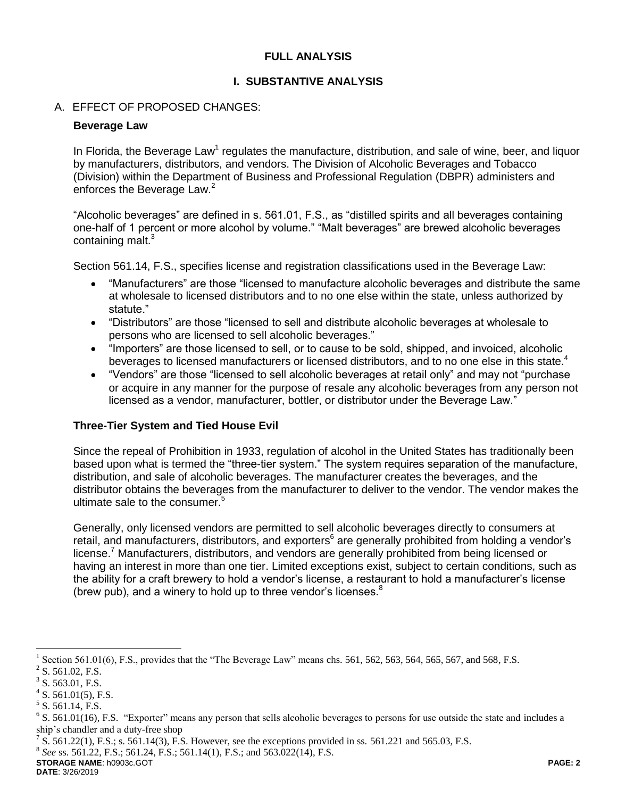# **FULL ANALYSIS**

### **I. SUBSTANTIVE ANALYSIS**

### A. EFFECT OF PROPOSED CHANGES:

### **Beverage Law**

In Florida, the Beverage Law<sup>1</sup> regulates the manufacture, distribution, and sale of wine, beer, and liquor by manufacturers, distributors, and vendors. The Division of Alcoholic Beverages and Tobacco (Division) within the Department of Business and Professional Regulation (DBPR) administers and enforces the Beverage Law.<sup>2</sup>

"Alcoholic beverages" are defined in s. 561.01, F.S., as "distilled spirits and all beverages containing one-half of 1 percent or more alcohol by volume." "Malt beverages" are brewed alcoholic beverages containing malt.<sup>3</sup>

Section 561.14, F.S., specifies license and registration classifications used in the Beverage Law:

- "Manufacturers" are those "licensed to manufacture alcoholic beverages and distribute the same at wholesale to licensed distributors and to no one else within the state, unless authorized by statute."
- "Distributors" are those "licensed to sell and distribute alcoholic beverages at wholesale to persons who are licensed to sell alcoholic beverages."
- "Importers" are those licensed to sell, or to cause to be sold, shipped, and invoiced, alcoholic beverages to licensed manufacturers or licensed distributors, and to no one else in this state.<sup>4</sup>
- "Vendors" are those "licensed to sell alcoholic beverages at retail only" and may not "purchase or acquire in any manner for the purpose of resale any alcoholic beverages from any person not licensed as a vendor, manufacturer, bottler, or distributor under the Beverage Law."

# **Three-Tier System and Tied House Evil**

Since the repeal of Prohibition in 1933, regulation of alcohol in the United States has traditionally been based upon what is termed the "three-tier system." The system requires separation of the manufacture, distribution, and sale of alcoholic beverages. The manufacturer creates the beverages, and the distributor obtains the beverages from the manufacturer to deliver to the vendor. The vendor makes the ultimate sale to the consumer.<sup>5</sup>

Generally, only licensed vendors are permitted to sell alcoholic beverages directly to consumers at retail, and manufacturers, distributors, and exporters<sup>6</sup> are generally prohibited from holding a vendor's license.<sup>7</sup> Manufacturers, distributors, and vendors are generally prohibited from being licensed or having an interest in more than one tier. Limited exceptions exist, subject to certain conditions, such as the ability for a craft brewery to hold a vendor's license, a restaurant to hold a manufacturer's license (brew pub), and a winery to hold up to three vendor's licenses. $8$ 

 $\overline{a}$ 

8 *See* ss. 561.22, F.S.; 561.24, F.S.; 561.14(1), F.S.; and 563.022(14), F.S.

**STORAGE NAME**: h0903c.GOT **PAGE: 2 DATE**: 3/26/2019

<sup>1</sup> Section 561.01(6), F.S., provides that the "The Beverage Law" means chs. 561, 562, 563, 564, 565, 567, and 568, F.S.

 $2^2$  S. 561.02, F.S.

 $3$  S. 563.01, F.S.

 $4$  S. 561.01(5), F.S.

 $<sup>5</sup>$  S. 561.14, F.S.</sup>

 $6$  S. 561.01(16), F.S. "Exporter" means any person that sells alcoholic beverages to persons for use outside the state and includes a ship's chandler and a duty-free shop

<sup>&</sup>lt;sup>7</sup> S. 561.22(1), F.S.; s. 561.14(3), F.S. However, see the exceptions provided in ss. 561.221 and 565.03, F.S.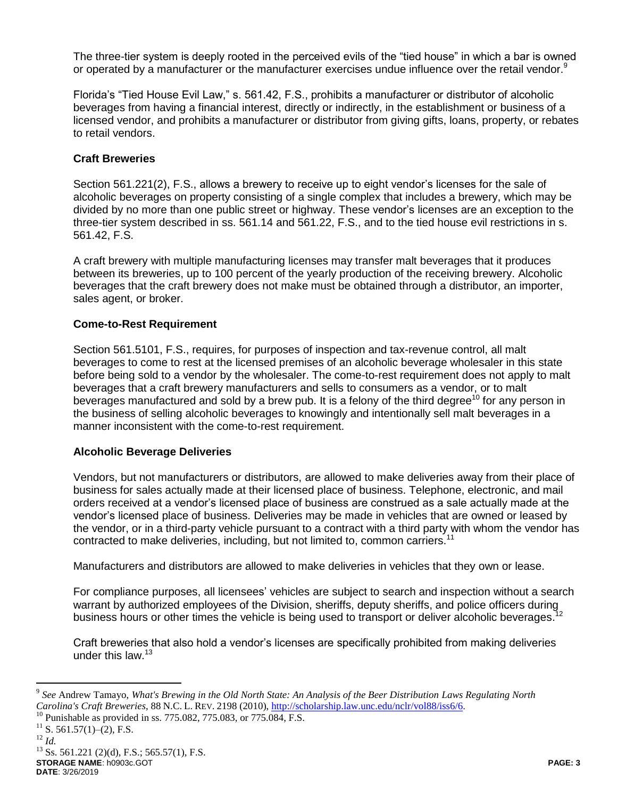The three-tier system is deeply rooted in the perceived evils of the "tied house" in which a bar is owned or operated by a manufacturer or the manufacturer exercises undue influence over the retail vendor.<sup>9</sup>

Florida's "Tied House Evil Law," s. 561.42, F.S., prohibits a manufacturer or distributor of alcoholic beverages from having a financial interest, directly or indirectly, in the establishment or business of a licensed vendor, and prohibits a manufacturer or distributor from giving gifts, loans, property, or rebates to retail vendors.

# **Craft Breweries**

Section 561.221(2), F.S., allows a brewery to receive up to eight vendor's licenses for the sale of alcoholic beverages on property consisting of a single complex that includes a brewery, which may be divided by no more than one public street or highway. These vendor's licenses are an exception to the three-tier system described in ss. 561.14 and 561.22, F.S., and to the tied house evil restrictions in s. 561.42, F.S.

A craft brewery with multiple manufacturing licenses may transfer malt beverages that it produces between its breweries, up to 100 percent of the yearly production of the receiving brewery. Alcoholic beverages that the craft brewery does not make must be obtained through a distributor, an importer, sales agent, or broker.

### **Come-to-Rest Requirement**

Section 561.5101, F.S., requires, for purposes of inspection and tax-revenue control, all malt beverages to come to rest at the licensed premises of an alcoholic beverage wholesaler in this state before being sold to a vendor by the wholesaler. The come-to-rest requirement does not apply to malt beverages that a craft brewery manufacturers and sells to consumers as a vendor, or to malt beverages manufactured and sold by a brew pub. It is a felony of the third degree<sup>10</sup> for any person in the business of selling alcoholic beverages to knowingly and intentionally sell malt beverages in a manner inconsistent with the come-to-rest requirement.

#### **Alcoholic Beverage Deliveries**

Vendors, but not manufacturers or distributors, are allowed to make deliveries away from their place of business for sales actually made at their licensed place of business. Telephone, electronic, and mail orders received at a vendor's licensed place of business are construed as a sale actually made at the vendor's licensed place of business. Deliveries may be made in vehicles that are owned or leased by the vendor, or in a third-party vehicle pursuant to a contract with a third party with whom the vendor has contracted to make deliveries, including, but not limited to, common carriers.<sup>11</sup>

Manufacturers and distributors are allowed to make deliveries in vehicles that they own or lease.

For compliance purposes, all licensees' vehicles are subject to search and inspection without a search warrant by authorized employees of the Division, sheriffs, deputy sheriffs, and police officers during<br>business bours at other times the vehicle is being used to transport at deliver alsoholic beverages <sup>12</sup> business hours or other times the vehicle is being used to transport or deliver alcoholic beverages.

Craft breweries that also hold a vendor's licenses are specifically prohibited from making deliveries under this law.<sup>13</sup>

 $\overline{a}$ 

**STORAGE NAME**: h0903c.GOT **PAGE: 3 DATE**: 3/26/2019  $^{13}$  Ss. 561.221 (2)(d), F.S.; 565.57(1), F.S.

<sup>9</sup> *See* Andrew Tamayo, *What's Brewing in the Old North State: An Analysis of the Beer Distribution Laws Regulating North Carolina's Craft Breweries*, 88 N.C. L. REV. 2198 (2010), [http://scholarship.law.unc.edu/nclr/vol88/iss6/6.](http://scholarship.law.unc.edu/nclr/vol88/iss6/6)

<sup>&</sup>lt;sup>10</sup> Punishable as provided in ss. 775.082, 775.083, or 775.084, F.S.

 $^{11}$  S. 561.57(1)–(2), F.S.

<sup>12</sup> *Id.*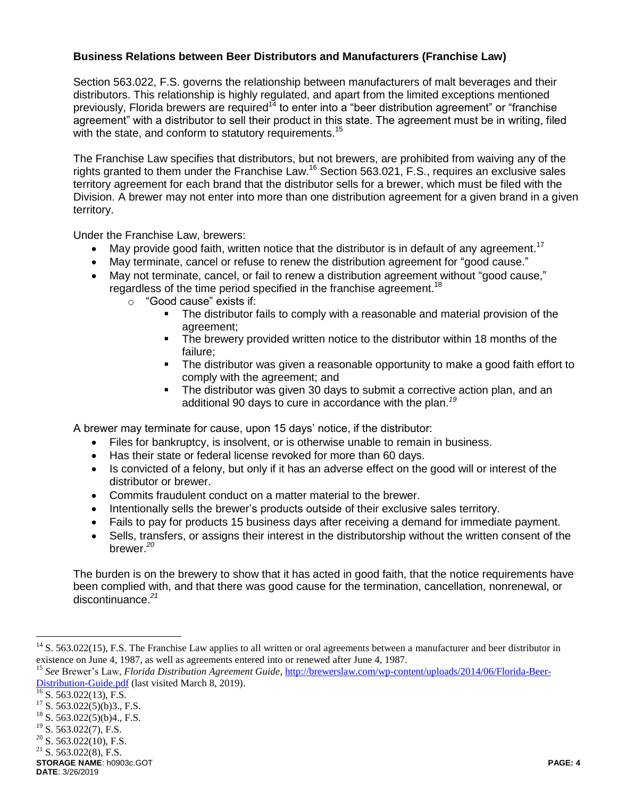# **Business Relations between Beer Distributors and Manufacturers (Franchise Law)**

Section 563.022, F.S. governs the relationship between manufacturers of malt beverages and their distributors. This relationship is highly regulated, and apart from the limited exceptions mentioned previously, Florida brewers are required<sup>14</sup> to enter into a "beer distribution agreement" or "franchise agreement" with a distributor to sell their product in this state. The agreement must be in writing, filed with the state, and conform to statutory requirements.<sup>15</sup>

The Franchise Law specifies that distributors, but not brewers, are prohibited from waiving any of the rights granted to them under the Franchise Law.<sup>16</sup> Section 563.021, F.S., requires an exclusive sales territory agreement for each brand that the distributor sells for a brewer, which must be filed with the Division. A brewer may not enter into more than one distribution agreement for a given brand in a given territory.

Under the Franchise Law, brewers:

- May provide good faith, written notice that the distributor is in default of any agreement.<sup>17</sup>
- May terminate, cancel or refuse to renew the distribution agreement for "good cause."
- May not terminate, cancel, or fail to renew a distribution agreement without "good cause," regardless of the time period specified in the franchise agreement.<sup>18</sup>
	- o "Good cause" exists if:
		- The distributor fails to comply with a reasonable and material provision of the agreement;
		- The brewery provided written notice to the distributor within 18 months of the failure;
		- **The distributor was given a reasonable opportunity to make a good faith effort to** comply with the agreement; and
		- The distributor was given 30 days to submit a corrective action plan, and an additional 90 days to cure in accordance with the plan.*<sup>19</sup>*

A brewer may terminate for cause, upon 15 days' notice, if the distributor:

- Files for bankruptcy, is insolvent, or is otherwise unable to remain in business.
- Has their state or federal license revoked for more than 60 days.
- Is convicted of a felony, but only if it has an adverse effect on the good will or interest of the distributor or brewer.
- Commits fraudulent conduct on a matter material to the brewer.
- Intentionally sells the brewer's products outside of their exclusive sales territory.
- Fails to pay for products 15 business days after receiving a demand for immediate payment.
- Sells, transfers, or assigns their interest in the distributorship without the written consent of the brewer. *20*

The burden is on the brewery to show that it has acted in good faith, that the notice requirements have been complied with, and that there was good cause for the termination, cancellation, nonrenewal, or discontinuance.*<sup>21</sup>*

 $\overline{a}$ 

 $14$  S. 563.022(15), F.S. The Franchise Law applies to all written or oral agreements between a manufacturer and beer distributor in existence on June 4, 1987, as well as agreements entered into or renewed after June 4, 1987.

<sup>15</sup> *See* Brewer's Law, *Florida Distribution Agreement Guide,* [http://brewerslaw.com/wp-content/uploads/2014/06/Florida-Beer-](http://brewerslaw.com/wp-content/uploads/2014/06/Florida-Beer-Distribution-Guide.pdf)[Distribution-Guide.pdf](http://brewerslaw.com/wp-content/uploads/2014/06/Florida-Beer-Distribution-Guide.pdf) (last visited March 8, 2019).

 $\frac{16}{16}$  S. 563.022(13), F.S.

 $17$  S. 563.022(5)(b)3., F.S.

<sup>&</sup>lt;sup>18</sup> S. 563.022(5)(b)4., F.S.<br><sup>19</sup> S. 563.022(7), F.S.

S. 563.022(7), F.S.

 $20$  S. 563.022(10), F.S.

 $21$  S. 563.022(8), F.S.

**STORAGE NAME**: h0903c.GOT **PAGE: 4**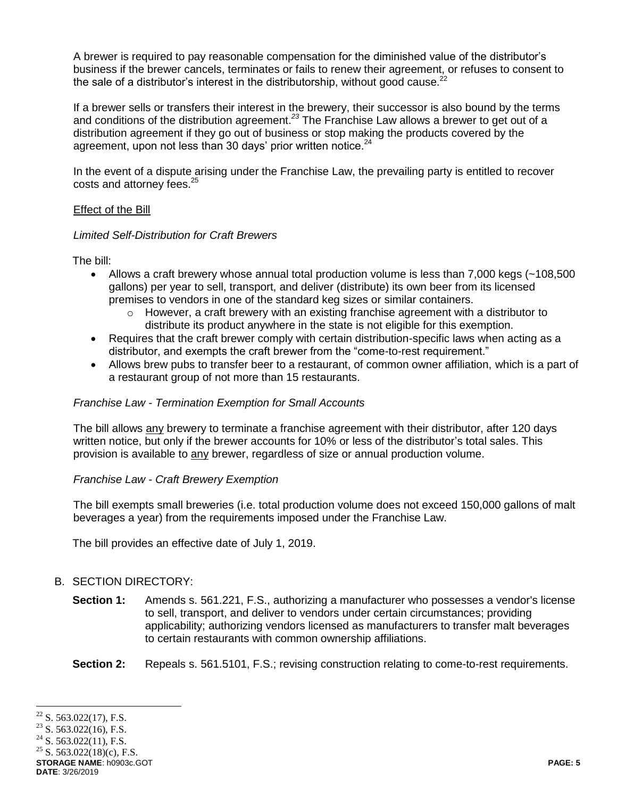A brewer is required to pay reasonable compensation for the diminished value of the distributor's business if the brewer cancels, terminates or fails to renew their agreement, or refuses to consent to the sale of a distributor's interest in the distributorship, without good cause. $^{22}$ 

If a brewer sells or transfers their interest in the brewery, their successor is also bound by the terms and conditions of the distribution agreement.*<sup>23</sup>* The Franchise Law allows a brewer to get out of a distribution agreement if they go out of business or stop making the products covered by the agreement, upon not less than 30 days' prior written notice.<sup>24</sup>

In the event of a dispute arising under the Franchise Law, the prevailing party is entitled to recover costs and attorney fees.<sup>25</sup>

#### Effect of the Bill

### *Limited Self-Distribution for Craft Brewers*

The bill:

- Allows a craft brewery whose annual total production volume is less than 7,000 kegs (~108,500 gallons) per year to sell, transport, and deliver (distribute) its own beer from its licensed premises to vendors in one of the standard keg sizes or similar containers.
	- $\circ$  However, a craft brewery with an existing franchise agreement with a distributor to distribute its product anywhere in the state is not eligible for this exemption.
- Requires that the craft brewer comply with certain distribution-specific laws when acting as a distributor, and exempts the craft brewer from the "come-to-rest requirement."
- Allows brew pubs to transfer beer to a restaurant, of common owner affiliation, which is a part of a restaurant group of not more than 15 restaurants.

### *Franchise Law - Termination Exemption for Small Accounts*

The bill allows any brewery to terminate a franchise agreement with their distributor, after 120 days written notice, but only if the brewer accounts for 10% or less of the distributor's total sales. This provision is available to any brewer, regardless of size or annual production volume.

# *Franchise Law - Craft Brewery Exemption*

The bill exempts small breweries (i.e. total production volume does not exceed 150,000 gallons of malt beverages a year) from the requirements imposed under the Franchise Law.

The bill provides an effective date of July 1, 2019.

# B. SECTION DIRECTORY:

- **Section 1:** Amends s. 561.221, F.S., authorizing a manufacturer who possesses a vendor's license to sell, transport, and deliver to vendors under certain circumstances; providing applicability; authorizing vendors licensed as manufacturers to transfer malt beverages to certain restaurants with common ownership affiliations.
- Section 2: Repeals s. 561.5101, F.S.; revising construction relating to come-to-rest requirements.

 $\overline{a}$  $22$  S. 563.022(17), F.S.

S. 563.022(16), F.S.

 $24$  S. 563.022(11), F.S.

<sup>&</sup>lt;sup>25</sup> S. 563.022(18)(c), F.S.

**STORAGE NAME**: h0903c.GOT **PAGE: 5 DATE**: 3/26/2019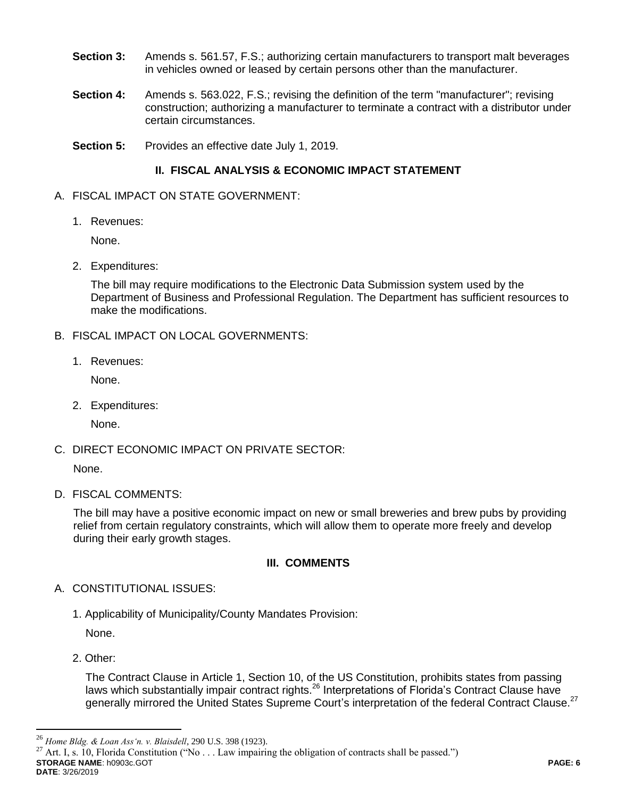- **Section 3:** Amends s. 561.57, F.S.; authorizing certain manufacturers to transport malt beverages in vehicles owned or leased by certain persons other than the manufacturer.
- **Section 4:** Amends s. 563.022, F.S.; revising the definition of the term "manufacturer"; revising construction; authorizing a manufacturer to terminate a contract with a distributor under certain circumstances.
- **Section 5:** Provides an effective date July 1, 2019.

# **II. FISCAL ANALYSIS & ECONOMIC IMPACT STATEMENT**

- A. FISCAL IMPACT ON STATE GOVERNMENT:
	- 1. Revenues:

None.

2. Expenditures:

The bill may require modifications to the Electronic Data Submission system used by the Department of Business and Professional Regulation. The Department has sufficient resources to make the modifications.

- B. FISCAL IMPACT ON LOCAL GOVERNMENTS:
	- 1. Revenues:

None.

2. Expenditures:

None.

C. DIRECT ECONOMIC IMPACT ON PRIVATE SECTOR:

None.

D. FISCAL COMMENTS:

The bill may have a positive economic impact on new or small breweries and brew pubs by providing relief from certain regulatory constraints, which will allow them to operate more freely and develop during their early growth stages.

# **III. COMMENTS**

- A. CONSTITUTIONAL ISSUES:
	- 1. Applicability of Municipality/County Mandates Provision:

None.

2. Other:

 $\overline{a}$ 

The Contract Clause in Article 1, Section 10, of the US Constitution, prohibits states from passing laws which substantially impair contract rights.<sup>26</sup> Interpretations of Florida's Contract Clause have generally mirrored the United States Supreme Court's interpretation of the federal Contract Clause.<sup>27</sup>

**STORAGE NAME**: h0903c.GOT **PAGE: 6 DATE**: 3/26/2019 Art. I, s. 10, Florida Constitution ("No . . . Law impairing the obligation of contracts shall be passed.")

<sup>&</sup>lt;sup>26</sup> *Home Bldg. & Loan Ass'n. v. Blaisdell*, 290 U.S. 398 (1923).<br><sup>27</sup> Art J s. 10. Florida Constitution ("No J aw impairi